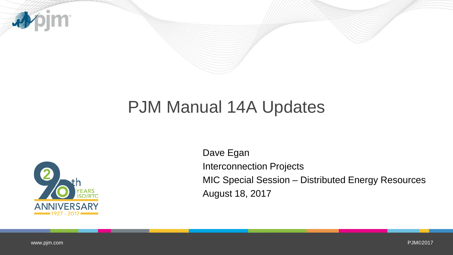

## PJM Manual 14A Updates



Dave Egan Interconnection Projects MIC Special Session – Distributed Energy Resources August 18, 2017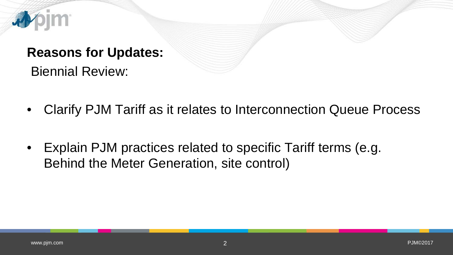

## **Reasons for Updates:**

Biennial Review:

- Clarify PJM Tariff as it relates to Interconnection Queue Process
- Explain PJM practices related to specific Tariff terms (e.g. Behind the Meter Generation, site control)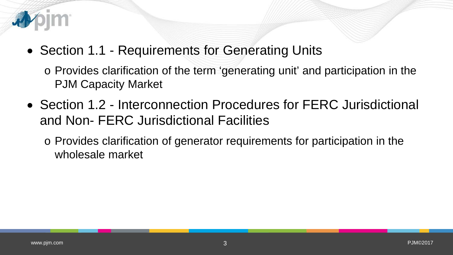

• Section 1.1 - Requirements for Generating Units

o Provides clarification of the term 'generating unit' and participation in the PJM Capacity Market

- Section 1.2 Interconnection Procedures for FERC Jurisdictional and Non- FERC Jurisdictional Facilities
	- o Provides clarification of generator requirements for participation in the wholesale market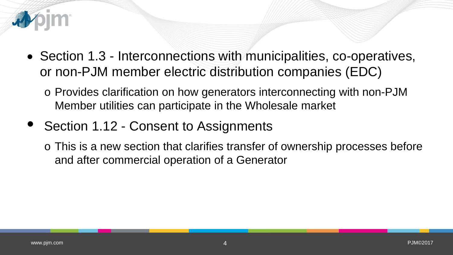

- Section 1.3 Interconnections with municipalities, co-operatives, or non-PJM member electric distribution companies (EDC)
	- o Provides clarification on how generators interconnecting with non-PJM Member utilities can participate in the Wholesale market
- Section 1.12 Consent to Assignments
	- o This is a new section that clarifies transfer of ownership processes before and after commercial operation of a Generator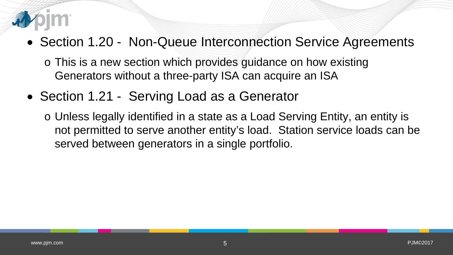

## • Section 1.20 - Non-Queue Interconnection Service Agreements

- o This is a new section which provides guidance on how existing Generators without a three-party ISA can acquire an ISA
- Section 1.21 Serving Load as a Generator
	- o Unless legally identified in a state as a Load Serving Entity, an entity is not permitted to serve another entity's load. Station service loads can be served between generators in a single portfolio.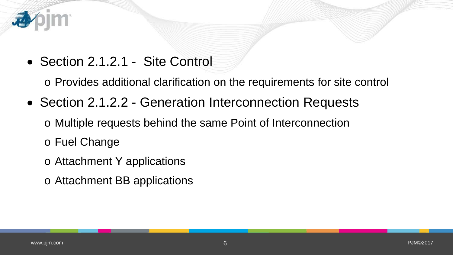

• Section 2.1.2.1 - Site Control

o Provides additional clarification on the requirements for site control

• Section 2.1.2.2 - Generation Interconnection Requests

o Multiple requests behind the same Point of Interconnection

o Fuel Change

- o Attachment Y applications
- o Attachment BB applications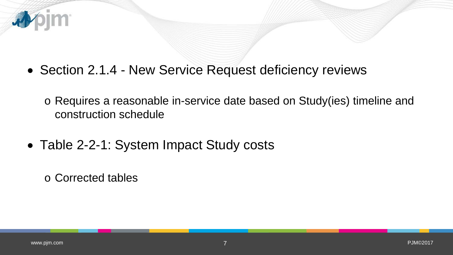

- o Requires a reasonable in-service date based on Study(ies) timeline and construction schedule
- Table 2-2-1: System Impact Study costs

o Corrected tables

**IM** 

看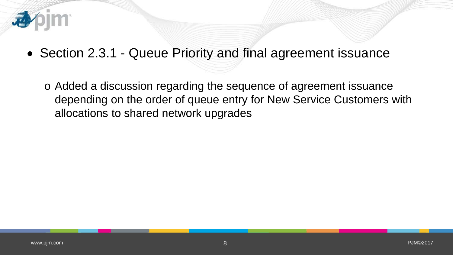

• Section 2.3.1 - Queue Priority and final agreement issuance

o Added a discussion regarding the sequence of agreement issuance depending on the order of queue entry for New Service Customers with allocations to shared network upgrades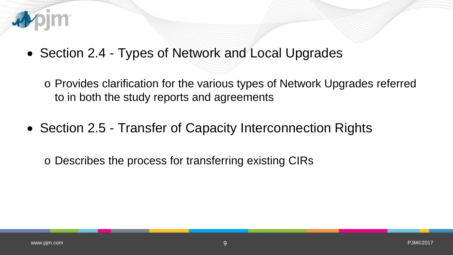

• Section 2.4 - Types of Network and Local Upgrades

o Provides clarification for the various types of Network Upgrades referred to in both the study reports and agreements

• Section 2.5 - Transfer of Capacity Interconnection Rights

o Describes the process for transferring existing CIRs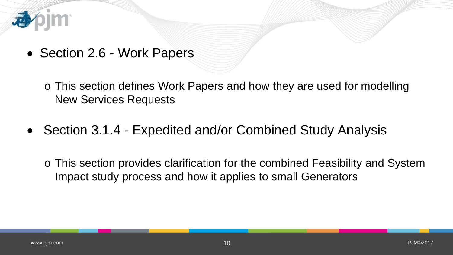

• Section 2.6 - Work Papers

o This section defines Work Papers and how they are used for modelling New Services Requests

• Section 3.1.4 - Expedited and/or Combined Study Analysis

o This section provides clarification for the combined Feasibility and System Impact study process and how it applies to small Generators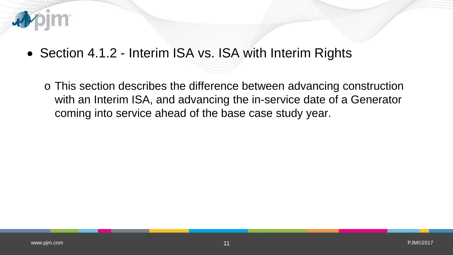

• Section 4.1.2 - Interim ISA vs. ISA with Interim Rights

o This section describes the difference between advancing construction with an Interim ISA, and advancing the in-service date of a Generator coming into service ahead of the base case study year.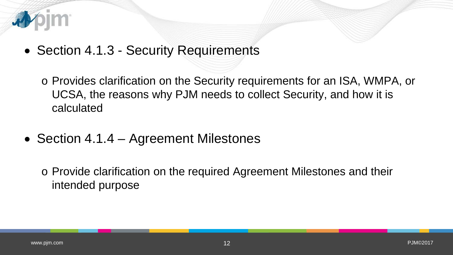

- Section 4.1.3 Security Requirements
	- o Provides clarification on the Security requirements for an ISA, WMPA, or UCSA, the reasons why PJM needs to collect Security, and how it is calculated
- Section 4.1.4 Agreement Milestones

o Provide clarification on the required Agreement Milestones and their intended purpose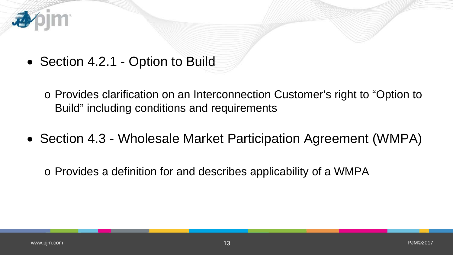

• Section 4.2.1 - Option to Build

o Provides clarification on an Interconnection Customer's right to "Option to Build" including conditions and requirements

• Section 4.3 - Wholesale Market Participation Agreement (WMPA)

o Provides a definition for and describes applicability of a WMPA